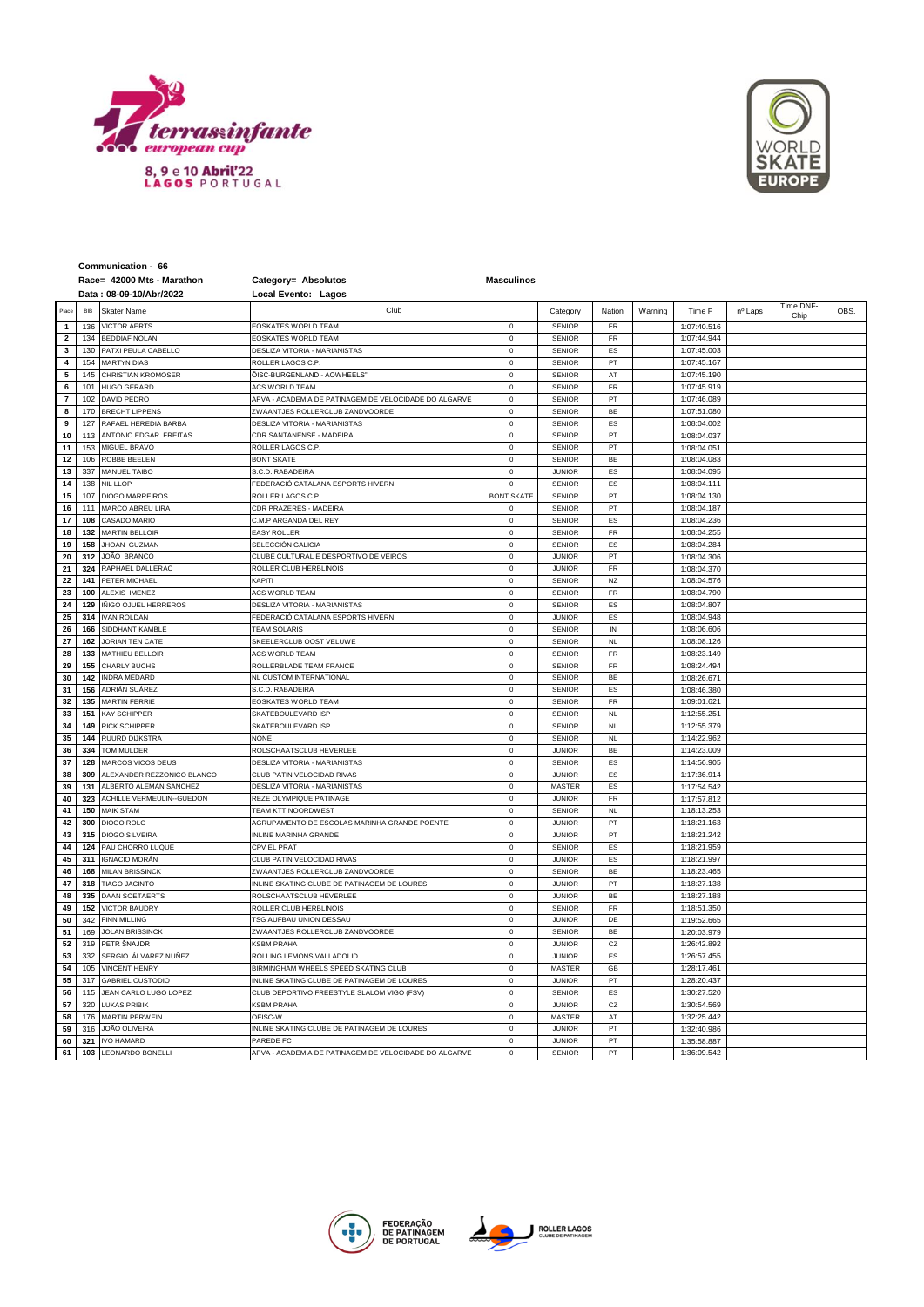



|                         |            | Race= 42000 Mts - Marathon             | Category= Absolutos                                   | <b>Masculinos</b>          |                                |                        |         |                            |         |                   |     |
|-------------------------|------------|----------------------------------------|-------------------------------------------------------|----------------------------|--------------------------------|------------------------|---------|----------------------------|---------|-------------------|-----|
|                         |            | Data: 08-09-10/Abr/2022                | Local Evento: Lagos                                   |                            |                                |                        |         |                            |         |                   |     |
|                         | <b>BIB</b> | Skater Name                            | Club                                                  |                            | Category                       | Nation                 | Warning | Time F                     | nº Laps | Time DNF-<br>Chin | OBS |
| $\mathbf{1}$            | 136        | <b>VICTOR AERTS</b>                    | EOSKATES WORLD TEAM                                   | $\mathbf 0$                | SENIOR                         | <b>FR</b>              |         | 1:07:40.516                |         |                   |     |
| $\mathbf{2}$            | 134        | <b>BEDDIAF NOLAN</b>                   | EOSKATES WORLD TEAM                                   | $\mathbf 0$                | <b>SENIOR</b>                  | FR                     |         | 1:07:44.944                |         |                   |     |
| 3                       | 130        | PATXI PEULA CABELLO                    | DESLIZA VITORIA - MARIANISTAS                         | $\mathbf 0$                | <b>SENIOR</b>                  | ES                     |         | 1:07:45.003                |         |                   |     |
| $\overline{\mathbf{4}}$ | 154        | <b>MARTYN DIAS</b>                     | ROLLER LAGOS C.P                                      | $\mathbf 0$                | <b>SENIOR</b>                  | PT                     |         | 1:07:45.167                |         |                   |     |
| 5                       | 145        | CHRISTIAN KROMOSER                     | ÖISC-BURGENLAND - AOWHEELS"                           | $\mathbf 0$                | <b>SENIOR</b>                  | AT                     |         | 1:07:45.190                |         |                   |     |
| 6                       | 101        | <b>HUGO GERARD</b>                     | <b>ACS WORLD TEAM</b>                                 | $\Omega$                   | <b>SENIOR</b>                  | FR                     |         | 1:07:45.919                |         |                   |     |
| $\overline{\mathbf{r}}$ | 102        | DAVID PEDRO                            | APVA - ACADEMIA DE PATINAGEM DE VELOCIDADE DO ALGARVE | $\mathbf 0$                | <b>SENIOR</b>                  | PT                     |         | 1:07:46.089                |         |                   |     |
| 8                       | 170        | <b>BRECHT LIPPENS</b>                  | ZWAANTJES ROLLERCLUB ZANDVOORDE                       | $\mathbf 0$                | <b>SENIOR</b>                  | BE                     |         | 1:07:51.080                |         |                   |     |
| 9                       | 127        | RAFAEL HEREDIA BARBA                   | DESLIZA VITORIA - MARIANISTAS                         | $\mathsf 0$                | <b>SENIOR</b>                  | ES                     |         | 1:08:04.002                |         |                   |     |
| 10                      | 113        | ANTONIO EDGAR FREITAS                  | CDR SANTANENSE - MADEIRA                              | $\mathbf 0$                | <b>SENIOR</b>                  | PT                     |         | 1:08:04.037                |         |                   |     |
| 11                      | 153        | MIGUEL BRAVO                           | ROLLER LAGOS C.P.                                     | $\mathbf 0$                | <b>SENIOR</b>                  | PT                     |         | 1:08:04.051                |         |                   |     |
| 12                      | 106        | ROBBE BEELEN                           | <b>BONT SKATE</b>                                     | $\mathbf 0$                | <b>SENIOR</b>                  | BE                     |         | 1:08:04.083                |         |                   |     |
| 13                      | 337        | MANUEL TAIBO                           | S.C.D. RABADEIRA                                      | $\mathbf 0$                | <b>JUNIOR</b>                  | ES                     |         | 1:08:04.095                |         |                   |     |
| 14                      | 138        | <b>NIL LLOP</b>                        | FEDERACIÓ CATALANA ESPORTS HIVERN                     | $\mathbf 0$                | <b>SENIOR</b>                  | ES                     |         | 1:08:04.111                |         |                   |     |
| 15                      | 107        | <b>DIOGO MARREIROS</b>                 | ROLLER LAGOS C.P.                                     | <b>BONT SKATE</b>          | <b>SENIOR</b>                  | PT                     |         | 1:08:04.130                |         |                   |     |
| 16                      | 111        | MARCO ABREU LIRA                       | CDR PRAZERES - MADEIRA                                | $\mathbf 0$                | <b>SENIOR</b>                  | PT                     |         | 1:08:04.187                |         |                   |     |
| 17                      | 108        | CASADO MARIO                           | C.M.P ARGANDA DEL REY                                 | $\mathbf 0$                | <b>SENIOR</b>                  | ES                     |         | 1:08:04.236                |         |                   |     |
| 18                      | 132        | <b>MARTIN BELLOIR</b>                  | EASY ROLLER                                           | $\mathbf 0$                | SENIOR                         | FR                     |         | 1:08:04.255                |         |                   |     |
| 19                      | 158        | JHOAN GUZMAN                           | SELECCIÓN GALICIA                                     | $\mathsf 0$                | <b>SENIOR</b>                  | ES                     |         | 1:08:04.284                |         |                   |     |
| 20                      | 312        | JOÃO BRANCO                            | CLUBE CULTURAL E DESPORTIVO DE VEIROS                 | $\mathbf 0$                | <b>JUNIOR</b>                  | PT                     |         | 1:08:04.306                |         |                   |     |
| 21                      | 324        | RAPHAEL DALLERAC                       | ROLLER CLUB HERBLINOIS                                | $\Omega$                   | <b>JUNIOR</b>                  | FR                     |         | 1:08:04.370                |         |                   |     |
| 22                      | 141        | PETER MICHAEL                          | <b><i>CAPITI</i></b>                                  | $\mathbf 0$                | <b>SENIOR</b>                  | NZ                     |         | 1:08:04.576                |         |                   |     |
| 23                      | 100        | ALEXIS IMENEZ                          | ACS WORLD TEAM                                        | $\mathbf 0$                | <b>SENIOR</b>                  | FR                     |         | 1:08:04.790                |         |                   |     |
| 24                      | 129        | IÑIGO OJUEL HERREROS                   | DESLIZA VITORIA - MARIANISTAS                         | $\mathbf 0$                | <b>SENIOR</b>                  | ES                     |         | 1:08:04.807                |         |                   |     |
| 25                      | 314        | <b>IVAN ROI DAN</b>                    | FEDERACIÓ CATALANA ESPORTS HIVERN                     | $\mathbf 0$                | <b>JUNIOR</b>                  | ES                     |         | 1:08:04.948                |         |                   |     |
| 26                      | 166        | SIDDHANT KAMBLE                        | <b>TFAM SOLARIS</b>                                   | $\mathbf 0$                | <b>SENIOR</b>                  | IN                     |         | 1:08:06.606                |         |                   |     |
| 27                      | 162        | <b>JORIAN TEN CATE</b>                 | SKEELERCLUB OOST VELUWE                               | $\Omega$                   | <b>SENIOR</b>                  | <b>NL</b>              |         | 1:08:08.126                |         |                   |     |
| 28                      | 133        | MATHIEU BELLOIR                        | <b>ACS WORLD TEAM</b>                                 | $\mathbf 0$                | <b>SENIOR</b>                  | FR                     |         | 1:08:23.149                |         |                   |     |
| 29                      | 155        | CHARLY BUCHS                           | ROLLERBLADE TEAM FRANCE                               | $\mathsf 0$                | <b>SENIOR</b>                  | FR                     |         | 1:08:24.494                |         |                   |     |
| 30                      | 142        | INDRA MÉDARD                           | NL CUSTOM INTERNATIONAL                               | $\mathbf 0$                | <b>SENIOR</b>                  | BE                     |         | 1:08:26.671                |         |                   |     |
| 31                      | 156        | ADRIÁN SUÁREZ                          | S.C.D. RABADEIRA                                      | $\Omega$<br>$\theta$       | <b>SENIOR</b>                  | ES                     |         | 1:08:46.380                |         |                   |     |
| 32<br>33                | 135<br>151 | <b>MARTIN FERRIE</b>                   | EOSKATES WORLD TEAM                                   |                            | <b>SENIOR</b>                  | FR                     |         | 1:09:01.621                |         |                   |     |
|                         | 149        | <b>KAY SCHIPPER</b>                    | SKATEBOULEVARD ISP                                    | $\mathbf 0$<br>$\mathbf 0$ | <b>SENIOR</b>                  | <b>NL</b>              |         | 1:12:55.251                |         |                   |     |
| 34                      | 144        | <b>RICK SCHIPPER</b><br>RUURD DIJKSTRA | SKATEBOULEVARD ISP<br><b>NONE</b>                     | $\mathbf 0$                | <b>SENIOR</b><br><b>SENIOR</b> | <b>NL</b><br><b>NL</b> |         | 1:12:55.379                |         |                   |     |
| 35<br>36                | 334        | TOM MULDER                             | ROLSCHAATSCLUB HEVERLEE                               | $\Omega$                   | <b>JUNIOR</b>                  | <b>BE</b>              |         | 1:14:22.962<br>1:14:23.009 |         |                   |     |
| 37                      | 128        | MARCOS VICOS DEUS                      | DESLIZA VITORIA - MARIANISTAS                         | $\circ$                    | <b>SENIOR</b>                  | ES                     |         | 1:14:56.905                |         |                   |     |
| 38                      | 309        | ALEXANDER REZZONICO BLANCO             | CLUB PATIN VELOCIDAD RIVAS                            | $\mathbf 0$                | <b>JUNIOR</b>                  | ES                     |         | 1:17:36.914                |         |                   |     |
| 39                      | 131        | ALBERTO ALEMAN SANCHEZ                 | DESLIZA VITORIA - MARIANISTAS                         | $\mathbf 0$                | <b>MASTER</b>                  | ES                     |         | 1:17:54.542                |         |                   |     |
| 40                      | 323        | ACHILLE VERMEULIN--GUEDON              | REZE OLYMPIQUE PATINAGE                               | $\mathbf 0$                | <b>JUNIOR</b>                  | FR                     |         | 1:17:57.812                |         |                   |     |
| 41                      | 150        | <b>MAIK STAM</b>                       | <b>TEAM KTT NOORDWEST</b>                             | $\theta$                   | <b>SENIOR</b>                  | NL                     |         | 1:18:13.253                |         |                   |     |
| 42                      | 300        | <b>DIOGO ROLO</b>                      | <b>AGRUPAMENTO DE ESCOLAS MARINHA GRANDE POENTE</b>   | $\mathbf 0$                | <b>JUNIOR</b>                  | PT                     |         | 1:18:21.163                |         |                   |     |
| 43                      | 315        | <b>DIOGO SILVEIRA</b>                  | <b>INLINE MARINHA GRANDE</b>                          | $\mathbf 0$                | <b>JUNIOR</b>                  | PT                     |         | 1:18:21.242                |         |                   |     |
| 44                      | 124        | PAU CHORRO LUQUE                       | CPV EL PRAT                                           | $\mathsf 0$                | <b>SENIOR</b>                  | ES                     |         | 1:18:21.959                |         |                   |     |
| 45                      | 311        | <b>IGNACIO MORÁN</b>                   | CLUB PATIN VELOCIDAD RIVAS                            | $\mathbf 0$                | <b>JUNIOR</b>                  | ES                     |         | 1:18:21.997                |         |                   |     |
| 46                      | 168        | <b>MILAN BRISSINCK</b>                 | ZWAANTJES ROLLERCLUB ZANDVOORDE                       | $\theta$                   | <b>SENIOR</b>                  | BE                     |         | 1:18:23.465                |         |                   |     |
| 47                      | 318        | <b>TIAGO JACINTO</b>                   | INLINE SKATING CLUBE DE PATINAGEM DE LOURES           | $\mathsf 0$                | <b>JUNIOR</b>                  | PT                     |         | 1:18:27.138                |         |                   |     |
| 48                      | 335        | DAAN SOETAERTS                         | ROLSCHAATSCLUB HEVERLEE                               | $\mathsf 0$                | <b>JUNIOR</b>                  | BE                     |         | 1:18:27.188                |         |                   |     |
| 49                      | 152        | <b>VICTOR BAUDRY</b>                   | ROLLER CLUB HERBLINOIS                                | $\mathsf 0$                | <b>SENIOR</b>                  | FR                     |         | 1:18:51.350                |         |                   |     |
| 50                      | 342        | <b>FINN MILLING</b>                    | TSG AUFBAU UNION DESSAU                               | $\mathbf 0$                | <b>JUNIOR</b>                  | DE                     |         | 1:19:52.665                |         |                   |     |
| 51                      | 169        | <b>JOLAN BRISSINCK</b>                 | ZWAANTJES ROLLERCLUB ZANDVOORDE                       | $\mathbf 0$                | <b>SENIOR</b>                  | <b>BE</b>              |         | 1:20:03.979                |         |                   |     |
| 52                      | 319        | PETR ŠNAJDR                            | <b><sbm b="" praha<=""></sbm></b>                     | $\mathbf 0$                | <b>JUNIOR</b>                  | CZ                     |         | 1:26:42.892                |         |                   |     |
| 53                      | 332        | SERGIO ÁLVAREZ NUÑEZ                   | ROLLING LEMONS VALLADOLID                             | $\mathbf 0$                | <b>JUNIOR</b>                  | ES                     |         | 1:26:57.455                |         |                   |     |
| 54                      | 105        | <b>VINCENT HENRY</b>                   | BIRMINGHAM WHEELS SPEED SKATING CLUB                  | $\mathsf 0$                | <b>MASTER</b>                  | GB                     |         | 1:28:17.461                |         |                   |     |
| 55                      | 317        | <b>GABRIEL CUSTODIO</b>                | INLINE SKATING CLUBE DE PATINAGEM DE LOURES           | $\mathbf 0$                | <b>JUNIOR</b>                  | PT                     |         | 1:28:20.437                |         |                   |     |
| 56                      | 115        | JEAN CARLO LUGO LOPEZ                  | CLUB DEPORTIVO FREESTYLE SLALOM VIGO (FSV)            | $\mathsf 0$                | <b>SENIOR</b>                  | ES                     |         | 1:30:27.520                |         |                   |     |
| 57                      | 320        | <b>LUKAS PRIBIK</b>                    | KSBM PRAHA                                            | $\mathbf 0$                | <b>JUNIOR</b>                  | CZ                     |         | 1:30:54.569                |         |                   |     |
| 58                      | 176        | MARTIN PERWEIN                         | OEISC-W                                               | $\mathbf 0$                | <b>MASTER</b>                  | AT                     |         | 1:32:25.442                |         |                   |     |
| 59                      | 316        | JOÃO OLIVEIRA                          | NLINE SKATING CLUBE DE PATINAGEM DE LOURES            | $\mathsf 0$                | <b>JUNIOR</b>                  | PT                     |         | 1:32:40.986                |         |                   |     |
| 60                      | 321        | <b>IVO HAMARD</b>                      | PAREDE FC                                             | $\mathsf 0$                | <b>JUNIOR</b>                  | PT                     |         | 1:35:58.887                |         |                   |     |
| 61                      | 103        | LEONARDO BONELLI                       | APVA - ACADEMIA DE PATINAGEM DE VELOCIDADE DO ALGARVE | $\mathbf 0$                | <b>SENIOR</b>                  | PT                     |         | 1:36:09.542                |         |                   |     |